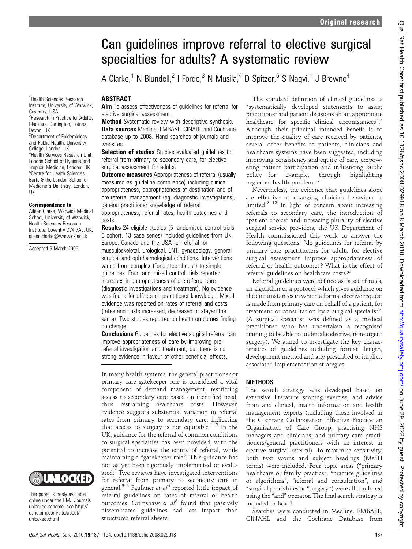# Can guidelines improve referral to elective surgical specialties for adults? A systematic review

A Clarke,<sup>1</sup> N Blundell,<sup>2</sup> I Forde,<sup>3</sup> N Musila,<sup>4</sup> D Spitzer,<sup>5</sup> S Naqvi,<sup>1</sup> J Browne<sup>4</sup>

### ABSTRACT

Aim To assess effectiveness of guidelines for referral for elective surgical assessment.

**Method** Systematic review with descriptive synthesis. Data sources Medline, EMBASE, CINAHL and Cochrane database up to 2008. Hand searches of journals and websites.

Selection of studies Studies evaluated guidelines for referral from primary to secondary care, for elective surgical assessment for adults.

**Outcome measures** Appropriateness of referral (usually measured as guideline compliance) including clinical appropriateness, appropriateness of destination and of pre-referral management (eg, diagnostic investigations), general practitioner knowledge of referral appropriateness, referral rates, health outcomes and costs.

**Results** 24 eligible studies (5 randomised control trials, 6 cohort, 13 case series) included guidelines from UK, Europe, Canada and the USA for referral for musculoskeletal, urological, ENT, gynaecology, general surgical and ophthalmological conditions. Interventions varied from complex ("one-stop shops") to simple guidelines. Four randomized control trials reported increases in appropriateness of pre-referral care (diagnostic investigations and treatment). No evidence was found for effects on practitioner knowledge. Mixed evidence was reported on rates of referral and costs (rates and costs increased, decreased or stayed the same). Two studies reported on health outcomes finding no change.

**Conclusions** Guidelines for elective surgical referral can improve appropriateness of care by improving prereferral investigation and treatment, but there is no strong evidence in favour of other beneficial effects.

In many health systems, the general practitioner or primary care gatekeeper role is considered a vital component of demand management, restricting access to secondary care based on identified need, thus restraining healthcare costs. However, evidence suggests substantial variation in referral rates from primary to secondary care, indicating that access to surgery is not equitable.<sup>1-3</sup> In the UK, guidance for the referral of common conditions to surgical specialties has been provided, with the potential to increase the equity of referral, while maintaining a "gatekeeper role". This guidance has not as yet been rigorously implemented or evaluated.<sup>4</sup> Two reviews have investigated interventions for referral from primary to secondary care in general.<sup>5 6</sup> Faulkner et  $a^{16}$  reported little impact of referral guidelines on rates of referral or health outcomes. Grimshaw et  $a^{5}$  found that passively disseminated guidelines had less impact than structured referral sheets.

The standard definition of clinical guidelines is "systematically developed statements to assist practitioner and patient decisions about appropriate healthcare for specific clinical circumstances".<sup>7</sup> Although their principal intended benefit is to improve the quality of care received by patients, several other benefits to patients, clinicians and healthcare systems have been suggested, including improving consistency and equity of care, empowering patient participation and influencing public<br>policy—for example, through highlighting policy-for example, through highlighting neglected health problems.<sup>8</sup>

Nevertheless, the evidence that guidelines alone are effective at changing clinician behaviour is limited. $9-12$  In light of concern about increasing referrals to secondary care, the introduction of "patient choice" and increasing plurality of elective surgical service providers, the UK Department of Health commissioned this work to answer the following questions: "do guidelines for referral by primary care practitioners for adults for elective surgical assessment improve appropriateness of referral or health outcomes? What is the effect of referral guidelines on healthcare costs?"

Referral guidelines were defined as "a set of rules, an algorithm or a protocol which gives guidance on the circumstances in which a formal elective request is made from primary care on behalf of a patient, for treatment or consultation by a surgical specialist". (A surgical specialist was defined as a medical practitioner who has undertaken a recognised training to be able to undertake elective, non-urgent surgery). We aimed to investigate the key characteristics of guidelines including format, length, development method and any prescribed or implicit associated implementation strategies.

# **METHODS**

The search strategy was developed based on extensive literature scoping exercise, and advice from and clinical, health information and health management experts (including those involved in the Cochrane Collaboration Effective Practice an Organisation of Care Group, practising NHS managers and clinicians, and primary care practitioners/general practitioners with an interest in elective surgical referral). To maximise sensitivity, both text words and subject headings (MeSH terms) were included. Four topic areas ("primary healthcare or family practice", "practice guidelines or algorithms", "referral and consultation", and "surgical procedures or "surgery") were all combined using the "and" operator. The final search strategy is included in Box 1.

Searches were conducted in Medline, EMBASE, CINAHL and the Cochrane Database from

<sup>1</sup>Health Sciences Research Institute, University of Warwick, Coventry, USA <sup>2</sup>Research in Practice for Adults, Blacklers, Dartington, Totnes, Devon, UK <sup>3</sup>Department of Epidemiology and Public Health, University College, London, UK 4 Health Services Research Unit, London School of Hygiene and Tropical Medicine, London, UK 5 Centre for Health Sciences, Barts & the London School of Medicine & Dentistry, London, UK

#### Correspondence to

Aileen Clarke, Warwick Medical School, University of Warwick, Health Sciences Research Institute, Coventry CV4 7AL, UK; aileen.clarke@warwick.ac.uk

Accepted 5 March 2009



This paper is freely available online under the BMJ Journals unlocked scheme, see http:// qshc.bmj.com/site/about/ unlocked.xhtml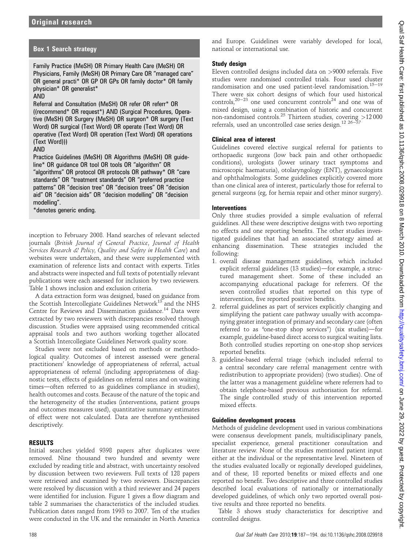# Box 1 Search strategy

Family Practice (MeSH) OR Primary Health Care (MeSH) OR Physicians, Family (MeSH) OR Primary Care OR "managed care" OR general practi\* OR GP OR GPs OR family doctor\* OR family physician\* OR generalist\*

#### AND

Referral and Consultation (MeSH) OR refer OR referr\* OR ((recommend\* OR request\*) AND (Surgical Procedures, Operative (MeSH) OR Surgery (MeSH) OR surgeon\* OR surgery (Text Word) OR surgical (Text Word) OR operate (Text Word) OR operative (Text Word) OR operation (Text Word) OR operations (Text Word)))

#### AND

Practice Guidelines (MeSH) OR Algorithms (MeSH) OR guideline\* OR guidance OR tool OR tools OR "algorithm" OR "algorithms" OR protocol OR protocols OR pathway\* OR "care standards" OR "treatment standards" OR "preferred practice patterns" OR "decision tree" OR "decision trees" OR "decision aid" OR "decision aids" OR "decision modelling" OR "decision modelling".

\*denotes generic ending.

inception to February 2008. Hand searches of relevant selected journals (British Journal of General Practice, Journal of Health Services Research & Policy, Quality and Safety in Health Care) and websites were undertaken, and these were supplemented with examination of reference lists and contact with experts. Titles and abstracts were inspected and full texts of potentially relevant publications were each assessed for inclusion by two reviewers. Table 1 shows inclusion and exclusion criteria.

A data extraction form was designed, based on guidance from the Scottish Intercollegiate Guidelines Network<sup>13</sup> and the NHS Centre for Reviews and Dissemination guidance.<sup>14</sup> Data were extracted by two reviewers with discrepancies resolved through discussion. Studies were appraised using recommended critical appraisal tools and two authors working together allocated a Scottish Intercollegiate Guidelines Network quality score.

Studies were not excluded based on methods or methodological quality. Outcomes of interest assessed were general practitioners' knowledge of appropriateness of referral, actual appropriateness of referral (including appropriateness of diagnostic tests, effects of guidelines on referral rates and on waiting times—often referred to as guidelines compliance in studies), health outcomes and costs. Because of the nature of the topic and the heterogeneity of the studies (interventions, patient groups and outcomes measures used), quantitative summary estimates of effect were not calculated. Data are therefore synthesised descriptively.

## RESULTS

Initial searches yielded 9398 papers after duplicates were removed. Nine thousand two hundred and seventy were excluded by reading title and abstract, with uncertainty resolved by discussion between two reviewers. Full texts of 128 papers were retrieved and examined by two reviewers. Discrepancies were resolved by discussion with a third reviewer and 24 papers were identified for inclusion. Figure 1 gives a flow diagram and table 2 summarises the characteristics of the included studies. Publication dates ranged from 1993 to 2007. Ten of the studies were conducted in the UK and the remainder in North America and Europe. Guidelines were variably developed for local, national or international use.

#### Study design

Eleven controlled designs included data on >9000 referrals. Five studies were randomised controlled trials. Four used cluster randomisation and one used patient-level randomisation.<sup>15-19</sup> There were six cohort designs of which four used historical controls,<sup>20-23</sup> one used concurrent controls<sup>24</sup> and one was of mixed design, using a combination of historic and concurrent non-randomised controls.<sup>25</sup> Thirteen studies, covering >12 000 referrals, used an uncontrolled case series design.<sup>12 26-</sup>

#### Clinical area of interest

Guidelines covered elective surgical referral for patients to orthopaedic surgeons (low back pain and other orthopaedic conditions), urologists (lower urinary tract symptoms and microscopic haematuria), otolaryngology (ENT), gynaecologists and ophthalmologists. Some guidelines explicitly covered more than one clinical area of interest, particularly those for referral to general surgeons (eg, for hernia repair and other minor surgery).

#### **Interventions**

Only three studies provided a simple evaluation of referral guidelines. All these were descriptive designs with two reporting no effects and one reporting benefits. The other studies investigated guidelines that had an associated strategy aimed at enhancing dissemination. These strategies included the following:

- 1. overall disease management guidelines, which included explicit referral guidelines (13 studies)—for example, a structured management sheet. Some of these included an accompanying educational package for referrers. Of the seven controlled studies that reported on this type of intervention, five reported positive benefits.
- 2. referral guidelines as part of services explicitly changing and simplifying the patient care pathway usually with accompanying greater integration of primary and secondary care (often referred to as "one-stop shop services") (six studies)—for example, guideline-based direct access to surgical waiting lists. Both controlled studies reporting on one-stop shop services reported benefits.
- 3. guideline-based referral triage (which included referral to a central secondary care referral management centre with redistribution to appropriate providers) (two studies). One of the latter was a management guideline where referrers had to obtain telephone-based previous authorisation for referral. The single controlled study of this intervention reported mixed effects.

#### Guideline development process

Methods of guideline development used in various combinations were consensus development panels, multidisciplinary panels, specialist experience, general practitioner consultation and literature review. None of the studies mentioned patient input either at the individual or the representative level. Nineteen of the studies evaluated locally or regionally developed guidelines, and of these, 18 reported benefits or mixed effects and one reported no benefit. Two descriptive and three controlled studies described local evaluations of nationally or internationally developed guidelines, of which only two reported overall positive results and three reported no benefits.

Table 3 shows study characteristics for descriptive and controlled designs.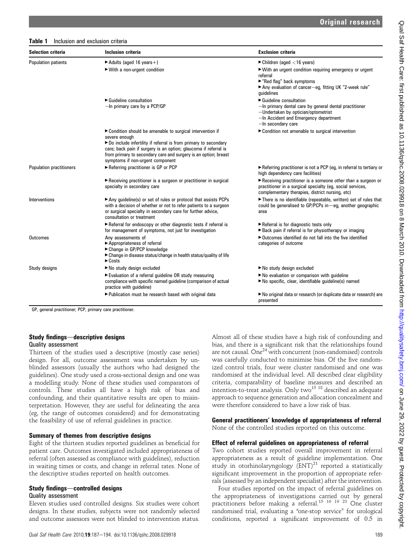#### Table 1 Inclusion and exclusion criteria

| <b>Selection criteria</b>       | Inclusion criteria                                                                                                                                                                                                                                                                                                        | <b>Exclusion criteria</b>                                                                                                                                                    |
|---------------------------------|---------------------------------------------------------------------------------------------------------------------------------------------------------------------------------------------------------------------------------------------------------------------------------------------------------------------------|------------------------------------------------------------------------------------------------------------------------------------------------------------------------------|
| <b>Population patients</b>      | $\blacktriangleright$ Adults (aged 16 years +)                                                                                                                                                                                                                                                                            | $\blacktriangleright$ Children (aged <16 years)                                                                                                                              |
|                                 | ► With a non-urgent condition                                                                                                                                                                                                                                                                                             | ► With an urgent condition requiring emergency or urgent<br>referral<br>► "Red flag" back symptoms<br>Any evaluation of cancer-eg, fitting UK "2-week rule"<br>quidelines    |
|                                 | $\blacktriangleright$ Guideline consultation                                                                                                                                                                                                                                                                              | $\blacktriangleright$ Guideline consultation                                                                                                                                 |
|                                 | $-$ In primary care by a PCP/GP                                                                                                                                                                                                                                                                                           | -In primary dental care by general dental practitioner<br>-Undertaken by optician/optometrist<br>-In Accident and Emergency department<br>-In secondary care                 |
|                                 | ► Condition should be amenable to surgical intervention if<br>severe enough<br>Do include infertility if referral is from primary to secondary<br>care; back pain if surgery is an option; glaucoma if referral is<br>from primary to secondary care and surgery is an option; breast<br>symptoms if non-urgent component | ► Condition not amenable to surgical intervention                                                                                                                            |
| <b>Population practitioners</b> | Referring practitioner is GP or PCP                                                                                                                                                                                                                                                                                       | Referring practitioner is not a PCP (eg, in referral to tertiary or<br>high dependency care facilities)                                                                      |
|                                 | Receiving practitioner is a surgeon or practitioner in surgical<br>specialty in secondary care                                                                                                                                                                                                                            | Receiving practitioner is a someone other than a surgeon or<br>practitioner in a surgical specialty (eg, social services,<br>complementary therapies, district nursing, etc) |
| Interventions                   | Any guideline(s) or set of rules or protocol that assists PCPs<br>with a decision of whether or not to refer patients to a surgeon<br>or surgical specialty in secondary care for further advice,<br>consultation or treatment                                                                                            | There is no identifiable (repeatable, written) set of rules that<br>could be generalised to GP/PCPs in-eq, another geographic<br>area                                        |
|                                 | Referral for endoscopy or other diagnostic tests if referral is<br>for management of symptoms, not just for investigation                                                                                                                                                                                                 | Referral is for diagnostic tests only<br>► Back pain if referral is for physiotherapy or imaging                                                                             |
| <b>Outcomes</b>                 | Any assessments of<br>► Appropriateness of referral<br>► Change in GP/PCP knowledge<br>► Change in disease status/change in health status/quality of life<br>$\triangleright$ Costs                                                                                                                                       | ▶ Outcomes identified do not fall into the five identified<br>categories of outcome                                                                                          |
| Study designs                   | ► No study design excluded                                                                                                                                                                                                                                                                                                | ► No study design excluded                                                                                                                                                   |
|                                 | Evaluation of a referral guideline OR study measuring<br>compliance with specific named guideline (comparison of actual<br>practice with guideline)                                                                                                                                                                       | No evaluation or comparison with quideline<br>$\blacktriangleright$ No specific, clear, identifiable quideline(s) named                                                      |
|                                 | ▶ Publication must be research based with original data                                                                                                                                                                                                                                                                   | No original data or research (or duplicate data or research) are<br>presented                                                                                                |

GP, general practitioner; PCP, primary care practitioner.

#### Study findings—descriptive designs Quality assessment

Thirteen of the studies used a descriptive (mostly case series) design. For all, outcome assessment was undertaken by unblinded assessors (usually the authors who had designed the guidelines). One study used a cross-sectional design and one was a modelling study. None of these studies used comparators of controls. These studies all have a high risk of bias and confounding, and their quantitative results are open to misinterpretation. However, they are useful for delineating the area (eg, the range of outcomes considered) and for demonstrating the feasibility of use of referral guidelines in practice.

#### Summary of themes from descriptive designs

Eight of the thirteen studies reported guidelines as beneficial for patient care. Outcomes investigated included appropriateness of referral (often assessed as compliance with guidelines), reduction in waiting times or costs, and change in referral rates. None of the descriptive studies reported on health outcomes.

#### Study findings—controlled designs

#### Quality assessment

Eleven studies used controlled designs. Six studies were cohort designs. In these studies, subjects were not randomly selected and outcome assessors were not blinded to intervention status.

Almost all of these studies have a high risk of confounding and bias, and there is a significant risk that the relationships found are not causal. One<sup>24</sup> with concurrent (non-randomised) controls was carefully conducted to minimise bias. Of the five randomized control trials, four were cluster randomised and one was randomised at the individual level. All described clear eligibility criteria, comparability of baseline measures and described an intention-to-treat analysis. Only two<sup>15 18</sup> described an adequate approach to sequence generation and allocation concealment and were therefore considered to have a low risk of bias.

#### General practitioners' knowledge of appropriateness of referral

None of the controlled studies reported on this outcome.

#### Effect of referral guidelines on appropriateness of referral

Two cohort studies reported overall improvement in referral appropriateness as a result of guideline implementation. One study in otorhinolaryngology  $(ENT)^{21}$  reported a statistically significant improvement in the proportion of appropriate referrals (assessed by an independent specialist) after the intervention.

Four studies reported on the impact of referral guidelines on the appropriateness of investigations carried out by general practitioners before making a referral.<sup>15 16 19 23</sup> One cluster randomised trial, evaluating a "one-stop service" for urological conditions, reported a significant improvement of 0.5 in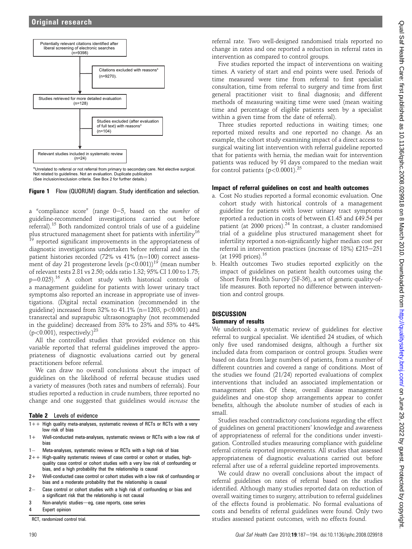

\*Unrelated to referral or not referral from primary to secondary care. Not elective surgical. Not related to guidelines. Not an evaluation. Duplicate publication (See inclusion/exclusion criteria. See Box 2 for further details.)



a "compliance score" (range  $0-5$ , based on the *number* of guideline-recommended investigations carried out before referral).<sup>15</sup> Both randomized control trials of use of a guideline plus structured management sheet for patients with infertility<sup>16</sup> <sup>19</sup> reported significant improvements in the appropriateness of diagnostic investigations undertaken before referral and in the patient histories recorded (72% vs 41% (n=100) correct assessment of day 21 progesterone levels  $(p<0.001)$ <sup>19</sup> (mean number of relevant tests 2.81 vs 2.50; odds ratio 1.32; 95% CI 1.00 to 1.75;  $p=0.025$ ).<sup>16</sup> A cohort study with historical controls of a management guideline for patients with lower urinary tract symptoms also reported an increase in appropriate use of investigations. (Digital rectal examination (recommended in the guideline) increased from 32% to 41.1% (n=1203, p<0.001) and transrectal and suprapubic ultrasonography (not recommended in the guideline) decreased from 33% to 23% and 53% to 44% (p<0.001), respectively.) $^{23}$ 

All the controlled studies that provided evidence on this variable reported that referral guidelines improved the appropriateness of diagnostic evaluations carried out by general practitioners before referral.

We can draw no overall conclusions about the impact of guidelines on the likelihood of referral because studies used a variety of measures (both rates and numbers of referrals). Four studies reported a reduction in crude numbers, three reported no change and one suggested that guidelines would increase the

Table 2 Levels of evidence

- 1++ High quality meta-analyses, systematic reviews of RCTs or RCTs with a very low risk of bias
- 1+ Well-conducted meta-analyses, systematic reviews or RCTs with a low risk of bias
- $1 -$ Meta-analyses, systematic reviews or RCTs with a high risk of bias
- $2++$  High-quality systematic reviews of case control or cohort or studies, highquality case control or cohort studies with a very low risk of confounding or bias, and a high probability that the relationship is causal
- 2+ Well-conducted case control or cohort studies with a low risk of confounding or bias and a moderate probability that the relationship is causal
- $2-$  Case control or cohort studies with a high risk of confounding or bias and a significant risk that the relationship is not causal
- 3 Non-analytic studies-eg, case reports, case series

**Expert opinion** 

RCT, randomized control trial.

referral rate. Two well-designed randomised trials reported no change in rates and one reported a reduction in referral rates in intervention as compared to control groups.

Five studies reported the impact of interventions on waiting times. A variety of start and end points were used. Periods of time measured were time from referral to first specialist consultation, time from referral to surgery and time from first general practitioner visit to final diagnosis; and different methods of measuring waiting time were used (mean waiting time and percentage of eligible patients seen by a specialist within a given time from the date of referral).

Three studies reported reductions in waiting times; one reported mixed results and one reported no change. As an example, the cohort study examining impact of a direct access to surgical waiting list intervention with referral guideline reported that for patients with hernia, the median wait for intervention patients was reduced by 91 days compared to the median wait for control patients ( $p < 0.0001$ )<sup>25</sup>

## Impact of referral guidelines on cost and health outcomes

- a. Cost No studies reported a formal economic evaluation. One cohort study with historical controls of a management guideline for patients with lower urinary tract symptoms reported a reduction in costs of between £1.45 and £49.54 per patient (at 2000 prices).24 In contrast, a cluster randomised trial of a guideline plus structured management sheet for infertility reported a non-significantly higher median cost per referral in intervention practices (increase of 18%)  $£215-251$ (at 1998 prices). $16$
- b. Health outcomes Two studies reported explicitly on the impact of guidelines on patient health outcomes using the Short Form Health Survey (SF-36), a set of generic quality-oflife measures. Both reported no difference between intervention and control groups.

# **DISCUSSION**

# Summary of results

We undertook a systematic review of guidelines for elective referral to surgical specialist. We identified 24 studies, of which only five used randomised designs, although a further six included data from comparison or control groups. Studies were based on data from large numbers of patients, from a number of different countries and covered a range of conditions. Most of the studies we found (21/24) reported evaluations of complex interventions that included an associated implementation or management plan. Of these, overall disease management guidelines and one-stop shop arrangements appear to confer benefits, although the absolute number of studies of each is small.

Studies reached contradictory conclusions regarding the effect of guidelines on general practitioners' knowledge and awareness of appropriateness of referral for the conditions under investigation. Controlled studies measuring compliance with guideline referral criteria reported improvements. All studies that assessed appropriateness of diagnostic evaluations carried out before referral after use of a referral guideline reported improvements.

We could draw no overall conclusions about the impact of referral guidelines on rates of referral based on the studies identified. Although many studies reported data on reduction of overall waiting times to surgery, attribution to referral guidelines of the effects found is problematic. No formal evaluations of costs and benefits of referral guidelines were found. Only two studies assessed patient outcomes, with no effects found.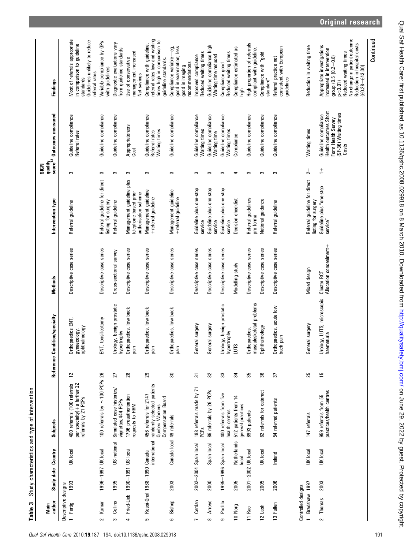Table 3 Study characteristics and type of intervention Table 3 Study characteristics and type of intervention

| author<br>Main                                        |      | Study date Country                           | Subjects                                                                                     |                 | Reference Condition/specialty                      | Methods                                | Intervention type                                                          | SIGN           | quality<br>score <sup>13</sup> Outcomes measured                                                      | <b>Findings</b>                                                                                                                                                                                           |
|-------------------------------------------------------|------|----------------------------------------------|----------------------------------------------------------------------------------------------|-----------------|----------------------------------------------------|----------------------------------------|----------------------------------------------------------------------------|----------------|-------------------------------------------------------------------------------------------------------|-----------------------------------------------------------------------------------------------------------------------------------------------------------------------------------------------------------|
| Descriptive designs                                   |      |                                              |                                                                                              |                 |                                                    |                                        |                                                                            |                |                                                                                                       |                                                                                                                                                                                                           |
| 1 Fertig                                              | 1993 | UK local                                     | 400 referrals (100 referrals<br>per specialty) + a further 22<br>referrals by 21 PCPs        | $\overline{12}$ | Orthopaedics ENT,<br>gynaecology,<br>ophthalmology | Descriptive case series                | Referral guideline                                                         | S              | Guideline compliance<br>Referral rates                                                                | Vlost of referrals appropriate<br>n comparison to guideline<br>standards                                                                                                                                  |
|                                                       |      |                                              |                                                                                              |                 |                                                    |                                        |                                                                            |                |                                                                                                       | Guidelines unlikely to reduce<br>eferral rates                                                                                                                                                            |
| Kumar<br>$\sim$                                       |      | 1996-1997 UK local                           | 100 referrals by $\sim$ 100 PCPs 26                                                          |                 | tonsillectomy<br>$\overline{5}$                    | Descriptive case series                | Referral guideline for direct<br>listing for surgery                       | S              | Guideline compliance                                                                                  | Variable compliance by GPs<br>with guidelines                                                                                                                                                             |
| Collins<br>S                                          | 1995 | US national                                  | Simulated case histories/<br>vignettes; 444 PCPs                                             | 27              | Urology, benign prostatic<br>hypertrophy           | Cross-sectional survey                 | Referral guideline                                                         | S              | Guideline compliance                                                                                  | Diagnostic evaluations vary<br>from guideline standards                                                                                                                                                   |
| 4                                                     |      | Fried-Lieb 1990-1991 US local                | 1796 preauthorisation<br><b>MBH</b> of stanba.                                               | 28              | Orthopaedics, low back<br>nied                     | Descriptive case series                | Management guideline plus<br>telephone based prior<br>authorisation scheme | S              | Appropriateness<br>Cost                                                                               | management increased<br>Use of conservative<br>Net savings                                                                                                                                                |
| c                                                     |      | international<br>Rossi-Gnol 1988-1990 Canada | randomly selected patients<br>456 referrals for 2147<br>Compensation Board<br>Quebec Workers | 29              | Orthopaedics, low back<br>pain                     | Descriptive case series                | Management guideline<br>+ referral guideline                               | ω              | Guideline compliance<br>Waiting times<br>Referral rates                                               | referral rates low and waiting<br>times high in comparison to<br>Compliance with guideline,<br>guideline standards.                                                                                       |
| Bishop<br>ဖ                                           | 2003 |                                              | Canada local 49 referrals                                                                    | $30\,$          | Orthopaedics, low back<br>pain                     | Descriptive case series                | Management guideline<br>+referral guideline                                | S              | Guideline compliance                                                                                  | good in examination; less<br>ę.<br>Compliance variable-<br>recommendations<br>good in imaging                                                                                                             |
| Cerdan<br>$\overline{a}$                              |      | 2002-2004 Spain local                        | 188 referrals made by 71<br>PCP <sub>S</sub>                                                 | 55              | Alaburs je.<br>Gener                               | Descriptive case series                | Guideline plus one-stop<br>service                                         | S              | Guideline compliance<br>Waiting times                                                                 | Reduced waiting times<br>Improved compliance                                                                                                                                                              |
| Arroyo<br>$\infty$                                    | 2000 | Spain local                                  | 86 referrals by 26 PCPs                                                                      | 32              | al surgery<br>Gener                                | Descriptive case series                | Guideline plus one-stop<br>service                                         | S              | Guideline compliance<br>Waiting time                                                                  | Guideline compliance high<br>Waiting time reduced                                                                                                                                                         |
| Padilla<br>ക                                          |      | 1995-1996 Spain local                        | 400 referrals from five<br>health centres                                                    | 33              | Urology, benign prostatic<br>hypertrophy           | Descriptive case series                | Guideline plus one-stop<br>service                                         | S              | Guideline compliance<br>Waiting times                                                                 | Reduced waiting times<br>Compliance good                                                                                                                                                                  |
| 10 Norg                                               | 2005 | Netherlands<br><b>local</b>                  | 512 patients from 14<br>general practices                                                    | 34              | SINT                                               | Modelling study                        | Decision checklist                                                         | 4              | Compliance                                                                                            | Compliance estimated as<br>high                                                                                                                                                                           |
| 11 Rao                                                |      | 2001-2002 UK local                           | 8993 patients                                                                                | 35              | musculoskeletal problems<br>Orthopaedics,          | Descriptive case series                | Referral guidelines<br>pro forma                                           | S              | Guideline compliance                                                                                  | High proportion of referrals<br>compliant with guideline.                                                                                                                                                 |
| 12 Lash                                               | 2005 | UK local                                     | 62 referrals for cataract                                                                    | 36              | Ophthalmology                                      | Descriptive case series                | National guidance                                                          | S              | Guideline compliance                                                                                  | Compliance with "gold<br>standard"                                                                                                                                                                        |
| 13 Fullen                                             | 2006 | Ireland                                      | 54 referred patients                                                                         | 21              | paedics, acute low<br>pain<br>Orthop<br>back       | Descriptive case series                | Referral guideline                                                         | S              | Guideline compliance                                                                                  | consistent with European<br>Referral practice not<br>guidelines                                                                                                                                           |
| Bradshaw 1997<br>Controlled designs<br>$\overline{a}$ |      | UK local                                     | 147 referrals                                                                                | 25              | ral surgery<br>Gener                               | Mixed design                           | Referral guideline for direct<br>listing for surgery                       | $\overline{2}$ | Waiting times                                                                                         | Reduction in waiting time                                                                                                                                                                                 |
| Thomas<br>$\sim$                                      | 2003 | UK local                                     | practices/health centres<br>959 referrals from 55                                            | 51              | Urology, LUTS; microscopic<br>haematuria           | Allocation concealment+<br>Cluster RCT | Guideline plus "one-stop<br>service"                                       | $\frac{+}{-}$  | Health outcomes Short<br>(SF-36) Waiting times<br>Guideline compliance<br>Form Health Survey<br>Costs | No change in patient outcome<br>Reduction in hospital costs<br>$f £0.28 - £43.00$<br>Appropriate investigations<br>increased in intervention<br>group (0.5 (0.2—0.8)<br>Reduced waiting times<br>p < 0.01 |
|                                                       |      |                                              |                                                                                              |                 |                                                    |                                        |                                                                            |                |                                                                                                       |                                                                                                                                                                                                           |

Continued

Original research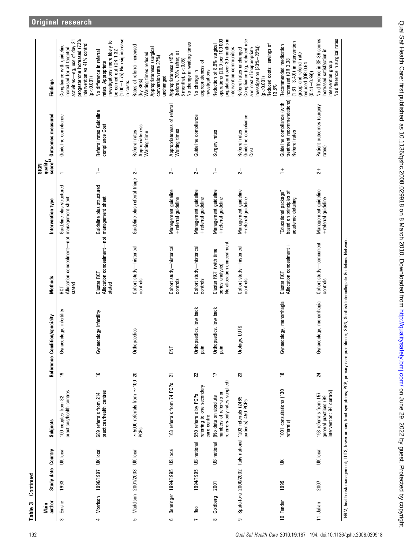|                | author<br>Main | Study date Country           |                       | Subjects                                                                          |                | Reference Condition/specialty                                                                                                                       | <b>Methods</b>                                                          | Intervention type                                                     | score <sup>13</sup><br>quality<br>SIGN | <b>Outcomes</b> measured                                                   | <b>Findings</b>                                                                                                                                                          |
|----------------|----------------|------------------------------|-----------------------|-----------------------------------------------------------------------------------|----------------|-----------------------------------------------------------------------------------------------------------------------------------------------------|-------------------------------------------------------------------------|-----------------------------------------------------------------------|----------------------------------------|----------------------------------------------------------------------------|--------------------------------------------------------------------------------------------------------------------------------------------------------------------------|
| S              | Emslie         | 1993                         | UK local              | practices/health centres<br>100 couples from 82                                   | ٥Ļ             | Gynaecology, infertility                                                                                                                            | Allocation concealment-not management sheet<br>stated<br>RCT            | Guideline plus structured                                             | $\frac{1}{\sqrt{2}}$                   | Guideline compliance                                                       | progesterone increased (72%<br>activities-eg, use of day 21<br>intervention vs 41% control<br>Compliance with guideline<br>increased for all targeted<br>p < 0.001       |
| 4              |                | Morrison 1996/1997 UK local  |                       | practices/health centres<br>689 referrals from 214                                | $\frac{6}{1}$  | Gynaecology Infertility                                                                                                                             | Allocation concealment-not management sheet<br>Cluster RCT<br>stated    | Guideline plus structured                                             | $\frac{1}{\sqrt{2}}$                   | Referral rates Guideline<br>compliance Cost                                | $(1.00 - 1.75)$ Non sig increase<br>investigations more likely to<br>be carried out (OR 1.32<br>Vo difference in referral<br>rates. Appropriate<br>n costs.              |
| cu             |                | Maddison 2001/2003 UK local  |                       | $\sim$ 5000 referrals from $\sim$ 100 20<br>PCPs                                  |                | Orthopaedics                                                                                                                                        | Cohort study-historical<br>controls                                     | Guideline plus referral triage                                        | $\sim$                                 | Appropriateness<br>Waiting time<br>Referral rates                          | Rates of referral increased<br>Appropriateness (surgical<br>Waiting times reduced<br>conversion rate 37%)<br>unchanged<br>by 86%)                                        |
| 6              |                | Benninger 1994/1995 US local |                       | 163 referrals from 74 PCPs                                                        | 21             | ENT                                                                                                                                                 | Cohort study-historical<br>controls                                     | Management guideline<br>+referral guideline                           | $\overline{2}$                         | Appropriateness of referral<br>Waiting times                               | 5 months), p<0.05)<br>No change in waiting times<br>(before), 70% (after; at<br>Appropriateness (45%                                                                     |
| $\overline{ }$ | Rao            |                              | 1994/1995 US national | referring to one secondary<br>550 referrals by PCPs<br>care centre                | $\overline{2}$ | Orthopaedics, low back<br>jain                                                                                                                      | Cohort study-historical<br>controls                                     | Management guideline<br>+ referral guideline                          | $2-$                                   | Guideline compliance                                                       | appropriateness of<br>investigations<br>No change in                                                                                                                     |
| $\infty$       | Goldberg       | 2001                         | US national           | referrers-only rates supplied)<br>numbers of referrals or<br>(No data on absolute | $\overline{a}$ | Orthopaedics, low back<br>ilia                                                                                                                      | No allocation concealment<br>Cluster RCT (with time<br>series analysis) | Management guideline<br>+referral guideline                           | $\frac{1}{\sqrt{2}}$                   | Surgery rates                                                              | population) over 30 months in<br>operations (20.9 per 100 000<br>Reduction of 8.9% surgical<br>intervention communities                                                  |
| თ              |                |                              |                       | Spata-fora 2000/2002 Italy national 1203 referrals (2465<br>patients) 450 PCPs    | 23             | Urology, LUTS                                                                                                                                       | Cohort study-historical<br>controls                                     | Management guideline<br>+ referral guideline                          | $\sim$                                 | Guideline compliance<br>Referral rates<br>Cost                             | Compliance (eg, reduced use<br>Reduced costs=savings of<br>nvestigation $(33\% - 22\%)$<br>and cost of inappropriate<br>Referral rates unchanged<br>(p < 0.001)<br>13.8% |
|                | 10 Fender      | 1999                         | $\leq$                | 1001 consultations (130<br>referrals)                                             | $\frac{8}{10}$ | Gynaecology, menorrhagia                                                                                                                            | Allocation concealment+<br>Cluster RCT                                  | "Educational package"<br>based on principles of<br>academic detailing | $\frac{+}{-}$                          | treatment recommendations)<br>Guideline compliance (with<br>Referral rates | $(1.61 - 3.49)$ ) in intervention<br>Recommended medication<br>group and referral rate<br>increased (OR 2.38<br>reduced (OR 0.64<br>$(0.41 - 0.99)$                      |
|                | 11 Julian      | 2007                         | UK local              | intervention: 94 control)<br>193 referrals from 157<br>general practices (99      | 24             | Gynaecology, menorrhagia                                                                                                                            | Cohort study-concurrent<br>controls                                     | Management guideline<br>+referral guideline                           | $\frac{1}{2}$                          | Patient outcomes (surgery<br>rates)                                        | No difference in SF-36 scores<br>No difference in surgical rates<br>ncreased satisfaction in<br>intervention group                                                       |
|                |                |                              |                       |                                                                                   |                | HRM, health risk management; LUTS, lower urinary tract symptoms; PCP, primary care practitioner; SIGN, Scottish Intercollegiate Guidelines Network. |                                                                         |                                                                       |                                        |                                                                            |                                                                                                                                                                          |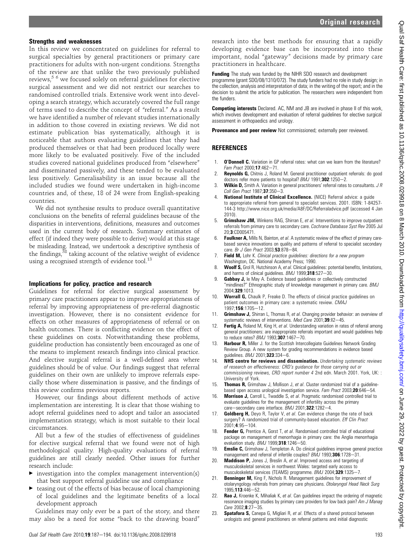#### Strengths and weaknesses

In this review we concentrated on guidelines for referral to surgical specialties by general practitioners or primary care practitioners for adults with non-urgent conditions. Strengths of the review are that unlike the two previously published reviews,<sup>5 6</sup> we focused solely on referral guidelines for elective surgical assessment and we did not restrict our searches to randomised controlled trials. Extensive work went into developing a search strategy, which accurately covered the full range of terms used to describe the concept of "referral." As a result we have identified a number of relevant studies internationally in addition to those covered in existing reviews. We did not estimate publication bias systematically, although it is noticeable that authors evaluating guidelines that they had produced themselves or that had been produced locally were more likely to be evaluated positively. Five of the included studies covered national guidelines produced from "elsewhere" and disseminated passively, and these tended to be evaluated less positively. Generalisability is an issue because all the included studies we found were undertaken in high-income countries and, of these, 18 of 24 were from English-speaking countries.

We did not synthesise results to produce overall quantitative conclusions on the benefits of referral guidelines because of the disparities in interventions, definitions, measures and outcomes used in the current body of research. Summary estimates of effect (if indeed they were possible to derive) would at this stage be misleading. Instead, we undertook a descriptive synthesis of the findings, $38$  taking account of the relative weight of evidence using a recognised strength of evidence tool.<sup>13</sup>

### Implications for policy, practice and research

Guidelines for referral for elective surgical assessment by primary care practitioners appear to improve appropriateness of referral by improving appropriateness of pre-referral diagnostic investigation. However, there is no consistent evidence for effects on other measures of appropriateness of referral or on health outcomes. There is conflicting evidence on the effect of these guidelines on costs. Notwithstanding these problems, guideline production has consistently been encouraged as one of the means to implement research findings into clinical practice. And elective surgical referral is a well-defined area where guidelines should be of value. Our findings suggest that referral guidelines on their own are unlikely to improve referrals especially those where dissemination is passive, and the findings of this review confirms previous reports.

However, our findings about different methods of active implementation are interesting. It is clear that those wishing to adopt referral guidelines need to adopt and tailor an associated implementation strategy, which is most suitable to their local circumstances.

All but a few of the studies of effectiveness of guidelines for elective surgical referral that we found were not of high methodological quality. High-quality evaluations of referral guidelines are still clearly needed. Other issues for further research include:

- $\blacktriangleright$  investigation into the complex management intervention(s) that best support referral guideline use and compliance
- $\triangleright$  teasing out of the effects of bias because of local championing of local guidelines and the legitimate benefits of a local development approach

Guidelines may only ever be a part of the story, and there may also be a need for some "back to the drawing board"

**Funding** The study was funded by the NIHR SDO research and development programme (grant SDO/08/1310/072). The study funders had no role in study design; in the collection, analysis and interpretation of data; in the writing of the report; and in the decision to submit the article for publication. The researchers were independent from the funders.

Competing interests Declared. AC, NM and JB are involved in phase II of this work, which involves development and evaluation of referral guidelines for elective surgical assessment in orthopaedics and urology.

**Provenance and peer review** Not commissioned; externally peer reviewed.

# **REFERENCES**

- 1. **O'Donnell C.** Variation in GP referral rates: what can we learn from the literature? Fam Pract 2000;17:462-71.
- 2. **Reynolds G,** Chitnis J, Roland M. General practitioner outpatient referrals: do good doctors refer more patients to hospital?  $B$ MJ 1991;302:1250-2.
- **Wilkin D,** Smith A. Variation in general practitioners' referral rates to consultants. J R  $Call$  Gen Pract 1987; 37:350-3.
- National Institute of Clinical Excellence. (NICE) Referral advice: a guide to appropriate referral from general to specialist services. 2001. ISBN: 1-84257- 144-3 http://www.nice.org.uk/media/A8F/DC/Referraladvice.pdf (accessed 4 Jan 2010).
- 5. Grimshaw JM, Winkens RAG, Shirran E, et al. Interventions to improve outpatient referrals from primary care to secondary care. Cochrane Database Syst Rev 2005 Jul 20;3:CD005471.
- 6. Faulkner A, Mills N, Bainton, et al. A systematic review of the effect of primary carebased service innovations on quality and patterns of referral to specialist secondary care. Br J Gen Pract  $2003:53:878-84$ .
- 7. Field M, Lohr K. Clinical practice guidelines: directions for a new program Washington, DC. National Academy Press; 1990.
- 8. Woolf S, Grol R, Hutchinson A, et al. Clinical guidelines: potential benefits, limitations, and harms of clinical guidelines.  $BMJ$  1999; $\overline{3}18.527-30$ .
- 9. Gabbay J, le May A. Evidence based guidelines or collectively constructed "mindlines?" Ethnographic study of knowledge management in primary care. BMJ 2004;329:1013.
- 10. **Worrall G,** Chaulk P, Freake D. The effects of clinical practice guidelines on patient outcomes in primary care: a systematic review. CMAJ 1997:156:1705-12
- 11. Grimshaw J, Shirran L, Thomas R, et al. Changing provider behavior: an overview of systematic reviews of interventions. Med Care 2001;39:ll2-45.
- Fertig A, Roland M, King H, et al. Understanding variation in rates of referral among general practitioners: are inappropriate referrals important and would guidelines help to reduce rates? BMJ 1993;307:1467-70.
- 13. Harbour R, Miller J. for the Scottish Intercollegiate Guidelines Network Grading Review Group. A new system for grading recommendations in evidence based guidelines.  $BMJ$  2001; 323:334-6.
- 14. NHS centre for reviews and dissemination. Undertaking systematic reviews of research on effectiveness: CRD's guidance for those carrying out or commissioning reviews, CRD report number 4 2nd edn. March 2001. York, UK: : University of York.
- 15. Thomas R, Grimshaw J, Mollison J, et al. Cluster randomized trial of a guidelinebased open access urological investigation service. Fam Pract 2003;20:646-54.
- 16. Morrison J, Carroll L, Twaddle S, et al. Pragmatic randomised controlled trial to evaluate guidelines for the management of infertility across the primary care-secondary care interface.  $\overline{BMJ}$  2001;322:1282-4.
- 17. Goldberg H, Deyo R, Taylor V, et al. Can evidence change the rate of back surgery? A randomized trial of community-based education. Eff Clin Pract  $2001 \cdot 4 \cdot 95 - 104$
- 18. Fender G, Prentice A, Gorst T, et al. Randomised controlled trial of educational package on management of menorrhagia in primary care: the Anglia menorrhagia evaluation study.  $\bar{B}$ MJ 1999;318:1246-50.
- 19. **Emslie C,** Grimshaw J, Templeton A. Do clinical guidelines improve general practice management and referral of infertile couples? BMJ 1993;306:1728-31.
- 20. Maddison P, Jones J, Breslin A, et al. Improved access and targeting of musculoskeletal services in northwest Wales: targeted early access to musculoskeletal services (TEAMS) programme. BMJ 2004;329:1325-7.
- 21. **Benninger M,** King F, Nichols R. Management guidelines for improvement of otolaryngology referrals from primary care physicians. Otolaryngol Head Neck Surg 1995:113:446-52.
- Rao J, Kroenke K, Mihaliak K, et al. Can guidelines impact the ordering of magnetic resonance imaging studies by primary care providers for low back pain? Am J Manag  $Care 2002:8:27-35.$
- 23. Spatafora S, Canepa G, Migliari R, et al. Effects of a shared protocol between urologists and general practitioners on referral patterns and initial diagnostic